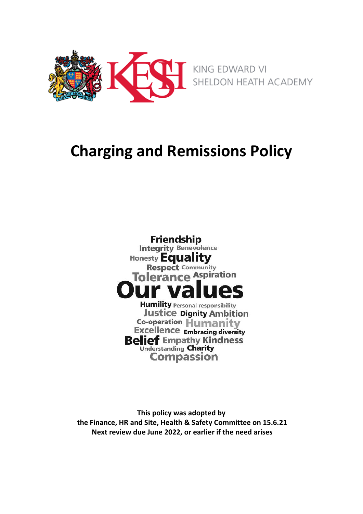

# **Charging and Remissions Policy**



**This policy was adopted by the Finance, HR and Site, Health & Safety Committee on 15.6.21 Next review due June 2022, or earlier if the need arises**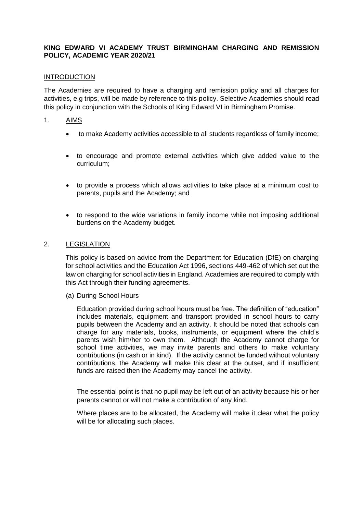# **KING EDWARD VI ACADEMY TRUST BIRMINGHAM CHARGING AND REMISSION POLICY, ACADEMIC YEAR 2020/21**

#### INTRODUCTION

The Academies are required to have a charging and remission policy and all charges for activities, e.g trips, will be made by reference to this policy. Selective Academies should read this policy in conjunction with the Schools of King Edward VI in Birmingham Promise.

#### 1. AIMS

- to make Academy activities accessible to all students regardless of family income;
- to encourage and promote external activities which give added value to the curriculum;
- to provide a process which allows activities to take place at a minimum cost to parents, pupils and the Academy; and
- to respond to the wide variations in family income while not imposing additional burdens on the Academy budget.

# 2. LEGISLATION

This policy is based on advice from the Department for Education (DfE) on charging for school activities and the Education Act 1996, sections 449-462 of which set out the law on charging for school activities in England. Academies are required to comply with this Act through their funding agreements.

#### (a) During School Hours

Education provided during school hours must be free. The definition of "education" includes materials, equipment and transport provided in school hours to carry pupils between the Academy and an activity. It should be noted that schools can charge for any materials, books, instruments, or equipment where the child's parents wish him/her to own them. Although the Academy cannot charge for school time activities, we may invite parents and others to make voluntary contributions (in cash or in kind). If the activity cannot be funded without voluntary contributions, the Academy will make this clear at the outset, and if insufficient funds are raised then the Academy may cancel the activity.

The essential point is that no pupil may be left out of an activity because his or her parents cannot or will not make a contribution of any kind.

Where places are to be allocated, the Academy will make it clear what the policy will be for allocating such places.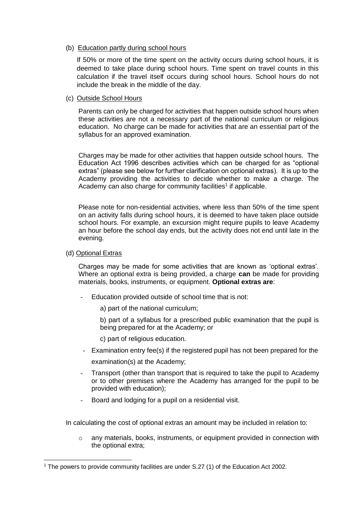#### (b) Education partly during school hours

If 50% or more of the time spent on the activity occurs during school hours, it is deemed to take place during school hours. Time spent on travel counts in this calculation if the travel itself occurs during school hours. School hours do not include the break in the middle of the day.

#### (c) Outside School Hours

Parents can only be charged for activities that happen outside school hours when these activities are not a necessary part of the national curriculum or religious education. No charge can be made for activities that are an essential part of the syllabus for an approved examination.

Charges may be made for other activities that happen outside school hours. The Education Act 1996 describes activities which can be charged for as "optional extras" (please see below for further clarification on optional extras). It is up to the Academy providing the activities to decide whether to make a charge. The Academy can also charge for community facilities<sup>1</sup> if applicable.

Please note for non-residential activities, where less than 50% of the time spent on an activity falls during school hours, it is deemed to have taken place outside school hours. For example, an excursion might require pupils to leave Academy an hour before the school day ends, but the activity does not end until late in the evening.

#### (d) Optional Extras

-

Charges may be made for some activities that are known as 'optional extras'. Where an optional extra is being provided, a charge **can** be made for providing materials, books, instruments, or equipment. **Optional extras are**:

- Education provided outside of school time that is not:
	- a) part of the national curriculum;

b) part of a syllabus for a prescribed public examination that the pupil is being prepared for at the Academy; or

- c) part of religious education.
- Examination entry fee(s) if the registered pupil has not been prepared for the examination(s) at the Academy;
- Transport (other than transport that is required to take the pupil to Academy or to other premises where the Academy has arranged for the pupil to be provided with education);
- Board and lodging for a pupil on a residential visit.

In calculating the cost of optional extras an amount may be included in relation to:

o any materials, books, instruments, or equipment provided in connection with the optional extra;

<sup>1</sup> The powers to provide community facilities are under S.27 (1) of the Education Act 2002.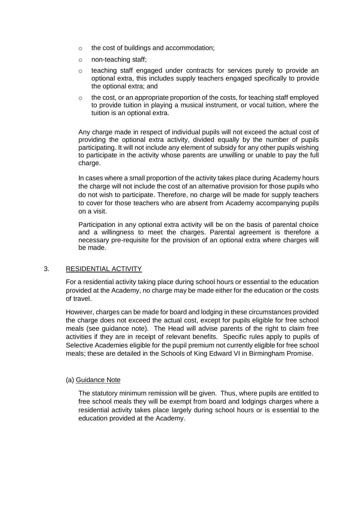- o the cost of buildings and accommodation;
- o non-teaching staff;
- o teaching staff engaged under contracts for services purely to provide an optional extra, this includes supply teachers engaged specifically to provide the optional extra; and
- $\circ$  the cost, or an appropriate proportion of the costs, for teaching staff employed to provide tuition in playing a musical instrument, or vocal tuition, where the tuition is an optional extra.

Any charge made in respect of individual pupils will not exceed the actual cost of providing the optional extra activity, divided equally by the number of pupils participating. It will not include any element of subsidy for any other pupils wishing to participate in the activity whose parents are unwilling or unable to pay the full charge.

In cases where a small proportion of the activity takes place during Academy hours the charge will not include the cost of an alternative provision for those pupils who do not wish to participate. Therefore, no charge will be made for supply teachers to cover for those teachers who are absent from Academy accompanying pupils on a visit.

Participation in any optional extra activity will be on the basis of parental choice and a willingness to meet the charges. Parental agreement is therefore a necessary pre-requisite for the provision of an optional extra where charges will be made.

# 3. RESIDENTIAL ACTIVITY

For a residential activity taking place during school hours or essential to the education provided at the Academy, no charge may be made either for the education or the costs of travel.

However, charges can be made for board and lodging in these circumstances provided the charge does not exceed the actual cost, except for pupils eligible for free school meals (see guidance note). The Head will advise parents of the right to claim free activities if they are in receipt of relevant benefits. Specific rules apply to pupils of Selective Academies eligible for the pupil premium not currently eligible for free school meals; these are detailed in the Schools of King Edward VI in Birmingham Promise.

# (a) Guidance Note

The statutory minimum remission will be given. Thus, where pupils are entitled to free school meals they will be exempt from board and lodgings charges where a residential activity takes place largely during school hours or is essential to the education provided at the Academy.